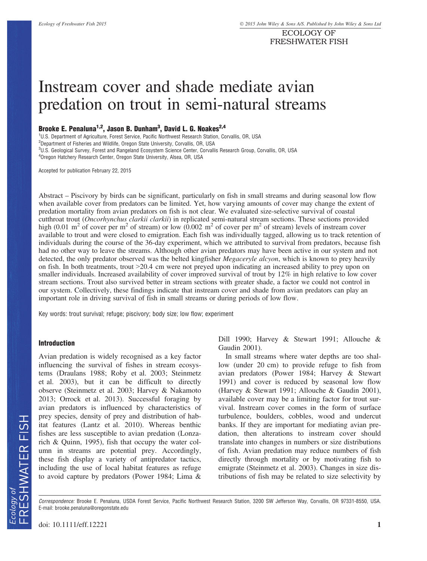ECOLOGY OF FRESHWATER FISH

# Instream cover and shade mediate avian predation on trout in semi-natural streams

# Brooke E. Penaluna<sup>1,2</sup>, Jason B. Dunham<sup>3</sup>, David L. G. Noakes<sup>2,4</sup>

<sup>1</sup>U.S. Department of Agriculture, Forest Service, Pacific Northwest Research Station, Corvallis, OR, USA

<sup>2</sup>Department of Fisheries and Wildlife, Oregon State University, Corvallis, OR, USA

3 U.S. Geological Survey, Forest and Rangeland Ecosystem Science Center, Corvallis Research Group, Corvallis, OR, USA 4 Oregon Hatchery Research Center, Oregon State University, Alsea, OR, USA

Accepted for publication February 22, 2015

Abstract – Piscivory by birds can be significant, particularly on fish in small streams and during seasonal low flow when available cover from predators can be limited. Yet, how varying amounts of cover may change the extent of predation mortality from avian predators on fish is not clear. We evaluated size-selective survival of coastal cutthroat trout (Oncorhynchus clarkii clarkii) in replicated semi-natural stream sections. These sections provided high (0.01 m<sup>2</sup> of cover per m<sup>2</sup> of stream) or low (0.002 m<sup>2</sup> of cover per m<sup>2</sup> of stream) levels of instream cover available to trout and were closed to emigration. Each fish was individually tagged, allowing us to track retention of individuals during the course of the 36-day experiment, which we attributed to survival from predators, because fish had no other way to leave the streams. Although other avian predators may have been active in our system and not detected, the only predator observed was the belted kingfisher *Megaceryle alcyon*, which is known to prey heavily on fish. In both treatments, trout >20.4 cm were not preyed upon indicating an increased ability to prey upon on smaller individuals. Increased availability of cover improved survival of trout by 12% in high relative to low cover stream sections. Trout also survived better in stream sections with greater shade, a factor we could not control in our system. Collectively, these findings indicate that instream cover and shade from avian predators can play an important role in driving survival of fish in small streams or during periods of low flow.

Key words: trout survival; refuge; piscivory; body size; low flow; experiment

#### Introduction

Avian predation is widely recognised as a key factor influencing the survival of fishes in stream ecosystems (Draulans 1988; Roby et al. 2003; Steinmetz et al. 2003), but it can be difficult to directly observe (Steinmetz et al. 2003; Harvey & Nakamoto 2013; Orrock et al. 2013). Successful foraging by avian predators is influenced by characteristics of prey species, density of prey and distribution of habitat features (Lantz et al. 2010). Whereas benthic fishes are less susceptible to avian predation (Lonzarich & Quinn, 1995), fish that occupy the water column in streams are potential prey. Accordingly, these fish display a variety of antipredator tactics, including the use of local habitat features as refuge to avoid capture by predators (Power 1984; Lima &

Dill 1990; Harvey & Stewart 1991; Allouche & Gaudin 2001).

In small streams where water depths are too shallow (under 20 cm) to provide refuge to fish from avian predators (Power 1984; Harvey & Stewart 1991) and cover is reduced by seasonal low flow (Harvey & Stewart 1991; Allouche & Gaudin 2001), available cover may be a limiting factor for trout survival. Instream cover comes in the form of surface turbulence, boulders, cobbles, wood and undercut banks. If they are important for mediating avian predation, then alterations to instream cover should translate into changes in numbers or size distributions of fish. Avian predation may reduce numbers of fish directly through mortality or by motivating fish to emigrate (Steinmetz et al. 2003). Changes in size distributions of fish may be related to size selectivity by

Correspondence: Brooke E. Penaluna, USDA Forest Service, Pacific Northwest Research Station, 3200 SW Jefferson Way, Corvallis, OR 97331-8550, USA. E-mail: brooke.penaluna@oregonstate.edu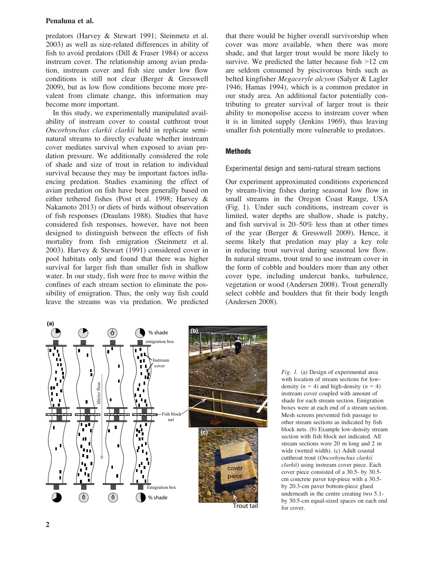## Penaluna et al.

predators (Harvey & Stewart 1991; Steinmetz et al. 2003) as well as size-related differences in ability of fish to avoid predators (Dill & Fraser 1984) or access instream cover. The relationship among avian predation, instream cover and fish size under low flow conditions is still not clear (Berger & Gresswell 2009), but as low flow conditions become more prevalent from climate change, this information may become more important.

In this study, we experimentally manipulated availability of instream cover to coastal cutthroat trout Oncorhynchus clarkii clarkii held in replicate seminatural streams to directly evaluate whether instream cover mediates survival when exposed to avian predation pressure. We additionally considered the role of shade and size of trout in relation to individual survival because they may be important factors influencing predation. Studies examining the effect of avian predation on fish have been generally based on either tethered fishes (Post et al. 1998; Harvey & Nakamoto 2013) or diets of birds without observation of fish responses (Draulans 1988). Studies that have considered fish responses, however, have not been designed to distinguish between the effects of fish mortality from fish emigration (Steinmetz et al. 2003). Harvey & Stewart (1991) considered cover in pool habitats only and found that there was higher survival for larger fish than smaller fish in shallow water. In our study, fish were free to move within the confines of each stream section to eliminate the possibility of emigration. Thus, the only way fish could leave the streams was via predation. We predicted that there would be higher overall survivorship when cover was more available, when there was more shade, and that larger trout would be more likely to survive. We predicted the latter because fish  $>12$  cm are seldom consumed by piscivorous birds such as belted kingfisher Megaceryle alcyon (Salyer & Lagler 1946; Hamas 1994), which is a common predator in our study area. An additional factor potentially contributing to greater survival of larger trout is their ability to monopolise access to instream cover when it is in limited supply (Jenkins 1969), thus leaving smaller fish potentially more vulnerable to predators.

## **Methods**

Experimental design and semi-natural stream sections

Our experiment approximated conditions experienced by stream-living fishes during seasonal low flow in small streams in the Oregon Coast Range, USA (Fig. 1). Under such conditions, instream cover is limited, water depths are shallow, shade is patchy, and fish survival is 20–50% less than at other times of the year (Berger & Gresswell 2009). Hence, it seems likely that predation may play a key role in reducing trout survival during seasonal low flow. In natural streams, trout tend to use instream cover in the form of cobble and boulders more than any other cover type, including undercut banks, turbulence, vegetation or wood (Andersen 2008). Trout generally select cobble and boulders that fit their body length (Andersen 2008).



Fig. 1. (a) Design of experimental area with location of stream sections for lowdensity  $(n = 4)$  and high-density  $(n = 4)$ instream cover coupled with amount of shade for each stream section. Emigration boxes were at each end of a stream section. Mesh screens prevented fish passage to other stream sections as indicated by fish block nets. (b) Example low-density stream section with fish block net indicated. All stream sections were 20 m long and 2 m wide (wetted width). (c) Adult coastal cutthroat trout (Oncorhynchus clarkii clarkii) using instream cover piece. Each cover piece consisted of a 30.5- by 30.5 cm concrete paver top-piece with a 30.5 by 20.3-cm paver bottom-piece glued underneath in the centre creating two 5.1 by 30.5-cm equal-sized spaces on each end for cover.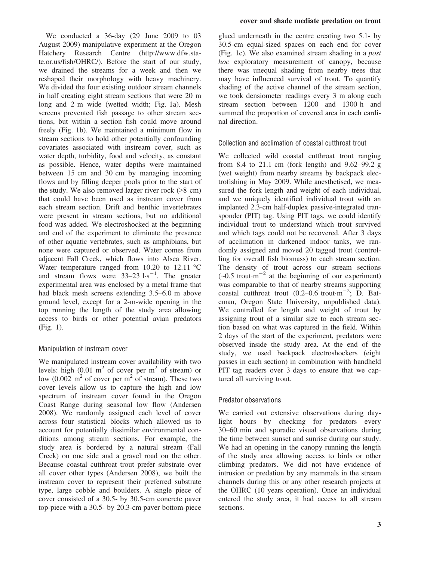We conducted a 36-day (29 June 2009 to 03 August 2009) manipulative experiment at the Oregon Hatchery Research Centre [\(http://www.dfw.sta](http://www.dfw.state.or.us/fish/OHRC/)[te.or.us/fish/OHRC/](http://www.dfw.state.or.us/fish/OHRC/)). Before the start of our study, we drained the streams for a week and then we reshaped their morphology with heavy machinery. We divided the four existing outdoor stream channels in half creating eight stream sections that were 20 m long and 2 m wide (wetted width; Fig. 1a). Mesh screens prevented fish passage to other stream sections, but within a section fish could move around freely (Fig. 1b). We maintained a minimum flow in stream sections to hold other potentially confounding covariates associated with instream cover, such as water depth, turbidity, food and velocity, as constant as possible. Hence, water depths were maintained between 15 cm and 30 cm by managing incoming flows and by filling deeper pools prior to the start of the study. We also removed larger river rock (>8 cm) that could have been used as instream cover from each stream section. Drift and benthic invertebrates were present in stream sections, but no additional food was added. We electroshocked at the beginning and end of the experiment to eliminate the presence of other aquatic vertebrates, such as amphibians, but none were captured or observed. Water comes from adjacent Fall Creek, which flows into Alsea River. Water temperature ranged from 10.20 to 12.11 °C and stream flows were  $33-23$   $1 \cdot s^{-1}$ . The greater experimental area was enclosed by a metal frame that had black mesh screens extending 3.5–6.0 m above ground level, except for a 2-m-wide opening in the top running the length of the study area allowing access to birds or other potential avian predators (Fig. 1).

## Manipulation of instream cover

We manipulated instream cover availability with two levels: high  $(0.01 \text{ m}^2 \text{ of cover per m}^2 \text{ of stream})$  or low (0.002 m<sup>2</sup> of cover per m<sup>2</sup> of stream). These two cover levels allow us to capture the high and low spectrum of instream cover found in the Oregon Coast Range during seasonal low flow (Andersen 2008). We randomly assigned each level of cover across four statistical blocks which allowed us to account for potentially dissimilar environmental conditions among stream sections. For example, the study area is bordered by a natural stream (Fall Creek) on one side and a gravel road on the other. Because coastal cutthroat trout prefer substrate over all cover other types (Andersen 2008), we built the instream cover to represent their preferred substrate type, large cobble and boulders. A single piece of cover consisted of a 30.5- by 30.5-cm concrete paver top-piece with a 30.5- by 20.3-cm paver bottom-piece

#### cover and shade mediate predation on trout

glued underneath in the centre creating two 5.1- by 30.5-cm equal-sized spaces on each end for cover (Fig. 1c). We also examined stream shading in a post hoc exploratory measurement of canopy, because there was unequal shading from nearby trees that may have influenced survival of trout. To quantify shading of the active channel of the stream section, we took densiometer readings every 3 m along each stream section between 1200 and 1300 h and summed the proportion of covered area in each cardinal direction.

Collection and acclimation of coastal cutthroat trout

We collected wild coastal cutthroat trout ranging from 8.4 to 21.1 cm (fork length) and 9.62–99.2 g (wet weight) from nearby streams by backpack electrofishing in May 2009. While anesthetised, we measured the fork length and weight of each individual, and we uniquely identified individual trout with an implanted 2.3-cm half-duplex passive-integrated transponder (PIT) tag. Using PIT tags, we could identify individual trout to understand which trout survived and which tags could not be recovered. After 3 days of acclimation in darkened indoor tanks, we randomly assigned and moved 20 tagged trout (controlling for overall fish biomass) to each stream section. The density of trout across our stream sections  $(-0.5$  trout m<sup>-2</sup> at the beginning of our experiment) was comparable to that of nearby streams supporting coastal cutthroat trout  $(0.2-0.6 \text{ trout} \cdot \text{m}^{-2})$ ; D. Bateman, Oregon State University, unpublished data). We controlled for length and weight of trout by assigning trout of a similar size to each stream section based on what was captured in the field. Within 2 days of the start of the experiment, predators were observed inside the study area. At the end of the study, we used backpack electroshockers (eight passes in each section) in combination with handheld PIT tag readers over 3 days to ensure that we captured all surviving trout.

## Predator observations

We carried out extensive observations during daylight hours by checking for predators every 30–60 min and sporadic visual observations during the time between sunset and sunrise during our study. We had an opening in the canopy running the length of the study area allowing access to birds or other climbing predators. We did not have evidence of intrusion or predation by any mammals in the stream channels during this or any other research projects at the OHRC (10 years operation). Once an individual entered the study area, it had access to all stream sections.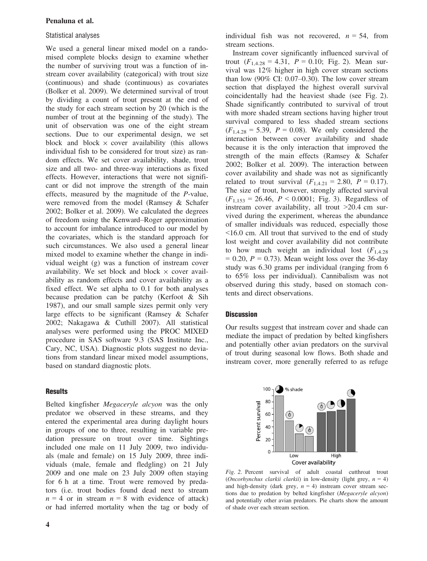## Penaluna et al.

#### Statistical analyses

We used a general linear mixed model on a randomised complete blocks design to examine whether the number of surviving trout was a function of instream cover availability (categorical) with trout size (continuous) and shade (continuous) as covariates (Bolker et al. 2009). We determined survival of trout by dividing a count of trout present at the end of the study for each stream section by 20 (which is the number of trout at the beginning of the study). The unit of observation was one of the eight stream sections. Due to our experimental design, we set block and block  $\times$  cover availability (this allows individual fish to be considered for trout size) as random effects. We set cover availability, shade, trout size and all two- and three-way interactions as fixed effects. However, interactions that were not significant or did not improve the strength of the main effects, measured by the magnitude of the P-value, were removed from the model (Ramsey & Schafer 2002; Bolker et al. 2009). We calculated the degrees of freedom using the Kenward–Roger approximation to account for imbalance introduced to our model by the covariates, which is the standard approach for such circumstances. We also used a general linear mixed model to examine whether the change in individual weight (g) was a function of instream cover availability. We set block and block  $\times$  cover availability as random effects and cover availability as a fixed effect. We set alpha to 0.1 for both analyses because predation can be patchy (Kerfoot & Sih 1987), and our small sample sizes permit only very large effects to be significant (Ramsey & Schafer 2002; Nakagawa & Cuthill 2007). All statistical analyses were performed using the PROC MIXED procedure in SAS software 9.3 (SAS Institute Inc., Cary, NC, USA). Diagnostic plots suggest no deviations from standard linear mixed model assumptions, based on standard diagnostic plots.

#### **Results**

Belted kingfisher Megaceryle alcyon was the only predator we observed in these streams, and they entered the experimental area during daylight hours in groups of one to three, resulting in variable predation pressure on trout over time. Sightings included one male on 11 July 2009, two individuals (male and female) on 15 July 2009, three individuals (male, female and fledgling) on 21 July 2009 and one male on 23 July 2009 often staying for 6 h at a time. Trout were removed by predators (i.e. trout bodies found dead next to stream  $n = 4$  or in stream  $n = 8$  with evidence of attack) or had inferred mortality when the tag or body of

4

individual fish was not recovered,  $n = 54$ , from stream sections.

Instream cover significantly influenced survival of trout  $(F_{1,4,28} = 4.31, P = 0.10;$  Fig. 2). Mean survival was 12% higher in high cover stream sections than low  $(90\% \text{ CI: } 0.07-0.30)$ . The low cover stream section that displayed the highest overall survival coincidentally had the heaviest shade (see Fig. 2). Shade significantly contributed to survival of trout with more shaded stream sections having higher trout survival compared to less shaded stream sections  $(F_{1,4,28} = 5.39, P = 0.08)$ . We only considered the interaction between cover availability and shade because it is the only interaction that improved the strength of the main effects (Ramsey & Schafer 2002; Bolker et al. 2009). The interaction between cover availability and shade was not as significantly related to trout survival  $(F_{1,4.21} = 2.80, P = 0.17)$ . The size of trout, however, strongly affected survival  $(F_{1,153} = 26.46, P < 0.0001;$  Fig. 3). Regardless of instream cover availability, all trout >20.4 cm survived during the experiment, whereas the abundance of smaller individuals was reduced, especially those <16.0 cm. All trout that survived to the end of study lost weight and cover availability did not contribute to how much weight an individual lost  $(F<sub>1,4,28</sub>)$  $= 0.20$ ,  $P = 0.73$ ). Mean weight loss over the 36-day study was 6.30 grams per individual (ranging from 6 to 65% loss per individual). Cannibalism was not observed during this study, based on stomach contents and direct observations.

#### **Discussion**

Our results suggest that instream cover and shade can mediate the impact of predation by belted kingfishers and potentially other avian predators on the survival of trout during seasonal low flows. Both shade and instream cover, more generally referred to as refuge



Fig. 2. Percent survival of adult coastal cutthroat trout (Oncorhynchus clarkii clarkii) in low-density (light grey,  $n = 4$ ) and high-density (dark grey,  $n = 4$ ) instream cover stream sections due to predation by belted kingfisher (Megaceryle alcyon) and potentially other avian predators. Pie charts show the amount of shade over each stream section.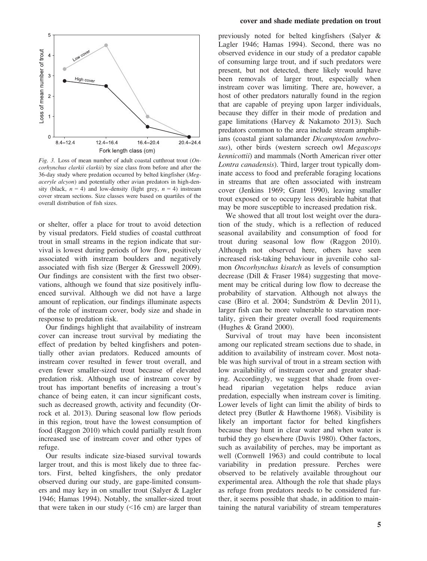

Fig. 3. Loss of mean number of adult coastal cutthroat trout (Oncorhynchus clarkii clarkii) by size class from before and after the 36-day study where predation occurred by belted kingfisher (Megaceryle alcyon) and potentially other avian predators in high-density (black,  $n = 4$ ) and low-density (light grey,  $n = 4$ ) instream cover stream sections. Size classes were based on quartiles of the overall distribution of fish sizes.

or shelter, offer a place for trout to avoid detection by visual predators. Field studies of coastal cutthroat trout in small streams in the region indicate that survival is lowest during periods of low flow, positively associated with instream boulders and negatively associated with fish size (Berger & Gresswell 2009). Our findings are consistent with the first two observations, although we found that size positively influenced survival. Although we did not have a large amount of replication, our findings illuminate aspects of the role of instream cover, body size and shade in response to predation risk.

Our findings highlight that availability of instream cover can increase trout survival by mediating the effect of predation by belted kingfishers and potentially other avian predators. Reduced amounts of instream cover resulted in fewer trout overall, and even fewer smaller-sized trout because of elevated predation risk. Although use of instream cover by trout has important benefits of increasing a trout's chance of being eaten, it can incur significant costs, such as decreased growth, activity and fecundity (Orrock et al. 2013). During seasonal low flow periods in this region, trout have the lowest consumption of food (Raggon 2010) which could partially result from increased use of instream cover and other types of refuge.

Our results indicate size-biased survival towards larger trout, and this is most likely due to three factors. First, belted kingfishers, the only predator observed during our study, are gape-limited consumers and may key in on smaller trout (Salyer & Lagler 1946; Hamas 1994). Notably, the smaller-sized trout that were taken in our study  $($  <16 cm) are larger than

#### cover and shade mediate predation on trout

previously noted for belted kingfishers (Salyer & Lagler 1946; Hamas 1994). Second, there was no observed evidence in our study of a predator capable of consuming large trout, and if such predators were present, but not detected, there likely would have been removals of larger trout, especially when instream cover was limiting. There are, however, a host of other predators naturally found in the region that are capable of preying upon larger individuals, because they differ in their mode of predation and gape limitations (Harvey & Nakamoto 2013). Such predators common to the area include stream amphibians (coastal giant salamander Dicamptodon tenebrosus), other birds (western screech owl Megascops kennicottii) and mammals (North American river otter Lontra canadensis). Third, larger trout typically dominate access to food and preferable foraging locations in streams that are often associated with instream cover (Jenkins 1969; Grant 1990), leaving smaller trout exposed or to occupy less desirable habitat that may be more susceptible to increased predation risk.

We showed that all trout lost weight over the duration of the study, which is a reflection of reduced seasonal availability and consumption of food for trout during seasonal low flow (Raggon 2010). Although not observed here, others have seen increased risk-taking behaviour in juvenile coho salmon Oncorhynchus kisutch as levels of consumption decrease (Dill & Fraser 1984) suggesting that movement may be critical during low flow to decrease the probability of starvation. Although not always the case (Biro et al. 2004; Sundström & Devlin 2011), larger fish can be more vulnerable to starvation mortality, given their greater overall food requirements (Hughes & Grand 2000).

Survival of trout may have been inconsistent among our replicated stream sections due to shade, in addition to availability of instream cover. Most notable was high survival of trout in a stream section with low availability of instream cover and greater shading. Accordingly, we suggest that shade from overhead riparian vegetation helps reduce avian predation, especially when instream cover is limiting. Lower levels of light can limit the ability of birds to detect prey (Butler & Hawthorne 1968). Visibility is likely an important factor for belted kingfishers because they hunt in clear water and when water is turbid they go elsewhere (Davis 1980). Other factors, such as availability of perches, may be important as well (Cornwell 1963) and could contribute to local variability in predation pressure. Perches were observed to be relatively available throughout our experimental area. Although the role that shade plays as refuge from predators needs to be considered further, it seems possible that shade, in addition to maintaining the natural variability of stream temperatures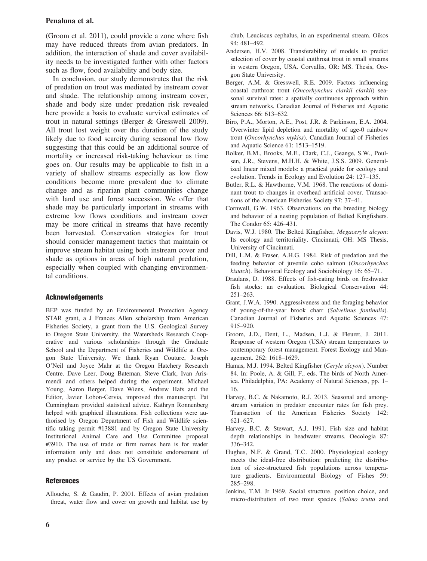#### Penaluna et al.

(Groom et al. 2011), could provide a zone where fish may have reduced threats from avian predators. In addition, the interaction of shade and cover availability needs to be investigated further with other factors such as flow, food availability and body size.

In conclusion, our study demonstrates that the risk of predation on trout was mediated by instream cover and shade. The relationship among instream cover, shade and body size under predation risk revealed here provide a basis to evaluate survival estimates of trout in natural settings (Berger & Gresswell 2009). All trout lost weight over the duration of the study likely due to food scarcity during seasonal low flow suggesting that this could be an additional source of mortality or increased risk-taking behaviour as time goes on. Our results may be applicable to fish in a variety of shallow streams especially as low flow conditions become more prevalent due to climate change and as riparian plant communities change with land use and forest succession. We offer that shade may be particularly important in streams with extreme low flows conditions and instream cover may be more critical in streams that have recently been harvested. Conservation strategies for trout should consider management tactics that maintain or improve stream habitat using both instream cover and shade as options in areas of high natural predation, especially when coupled with changing environmental conditions.

## Acknowledgements

BEP was funded by an Environmental Protection Agency STAR grant, a J Frances Allen scholarship from American Fisheries Society, a grant from the U.S. Geological Survey to Oregon State University, the Watersheds Research Cooperative and various scholarships through the Graduate School and the Department of Fisheries and Wildlife at Oregon State University. We thank Ryan Couture, Joseph O'Neil and Joyce Mahr at the Oregon Hatchery Research Centre. Dave Leer, Doug Bateman, Steve Clark, Ivan Arismendi and others helped during the experiment. Michael Young, Aaron Berger, Dave Wiens, Andrew Hafs and the Editor, Javier Lobon-Cervia, improved this manuscript. Pat Cunningham provided statistical advice. Kathryn Ronnenberg helped with graphical illustrations. Fish collections were authorised by Oregon Department of Fish and Wildlife scientific taking permit #13881 and by Oregon State University Institutional Animal Care and Use Committee proposal #3910. The use of trade or firm names here is for reader information only and does not constitute endorsement of any product or service by the US Government.

#### References

chub, Leuciscus cephalus, in an experimental stream. Oikos 94: 481–492.

- Andersen, H.V. 2008. Transferability of models to predict selection of cover by coastal cutthroat trout in small streams in western Oregon, USA. Corvallis, OR: MS. Thesis, Oregon State University.
- Berger, A.M. & Gresswell, R.E. 2009. Factors influencing coastal cutthroat trout (Oncorhynchus clarkii clarkii) seasonal survival rates: a spatially continuous approach within stream networks. Canadian Journal of Fisheries and Aquatic Sciences 66: 613–632.
- Biro, P.A., Morton, A.E., Post, J.R. & Parkinson, E.A. 2004. Overwinter lipid depletion and mortality of age-0 rainbow trout (Oncorhynchus mykiss). Canadian Journal of Fisheries and Aquatic Science 61: 1513–1519.
- Bolker, B.M., Brooks, M.E., Clark, C.J., Geange, S.W., Poulsen, J.R., Stevens, M.H.H. & White, J.S.S. 2009. Generalized linear mixed models: a practical guide for ecology and evolution. Trends in Ecology and Evolution 24: 127–135.
- Butler, R.L. & Hawthorne, V.M. 1968. The reactions of dominant trout to changes in overhead artificial cover. Transactions of the American Fisheries Society 97: 37–41.
- Cornwell, G.W. 1963. Observations on the breeding biology and behavior of a nesting population of Belted Kingfishers. The Condor 65: 426–431.
- Davis, W.J. 1980. The Belted Kingfisher, Megaceryle alcyon: Its ecology and territoriality. Cincinnati, OH: MS Thesis, University of Cincinnati.
- Dill, L.M. & Fraser, A.H.G. 1984. Risk of predation and the feeding behavior of juvenile coho salmon (Oncorhynchus kisutch). Behavioral Ecology and Sociobiology 16: 65–71.
- Draulans, D. 1988. Effects of fish-eating birds on freshwater fish stocks: an evaluation. Biological Conservation 44: 251–263.
- Grant, J.W.A. 1990. Aggressiveness and the foraging behavior of young-of-the-year brook charr (Salvelinus fontinalis). Canadian Journal of Fisheries and Aquatic Sciences 47: 915–920.
- Groom, J.D., Dent, L., Madsen, L.J. & Fleuret, J. 2011. Response of western Oregon (USA) stream temperatures to contemporary forest management. Forest Ecology and Management. 262: 1618–1629.
- Hamas, M.J. 1994. Belted Kingfisher (Ceryle alcyon). Number 84. In: Poole, A. & Gill, F., eds. The birds of North America. Philadelphia, PA: Academy of Natural Sciences, pp. 1– 16.
- Harvey, B.C. & Nakamoto, R.J. 2013. Seasonal and amongstream variation in predator encounter rates for fish prey. Transaction of the American Fisheries Society 142: 621–627.
- Harvey, B.C. & Stewart, A.J. 1991. Fish size and habitat depth relationships in headwater streams. Oecologia 87: 336–342.
- Hughes, N.F. & Grand, T.C. 2000. Physiological ecology meets the ideal-free distribution: predicting the distribution of size-structured fish populations across temperature gradients. Environmental Biology of Fishes 59: 285–298.
- Jenkins, T.M. Jr 1969. Social structure, position choice, and micro-distribution of two trout species (Salmo trutta and